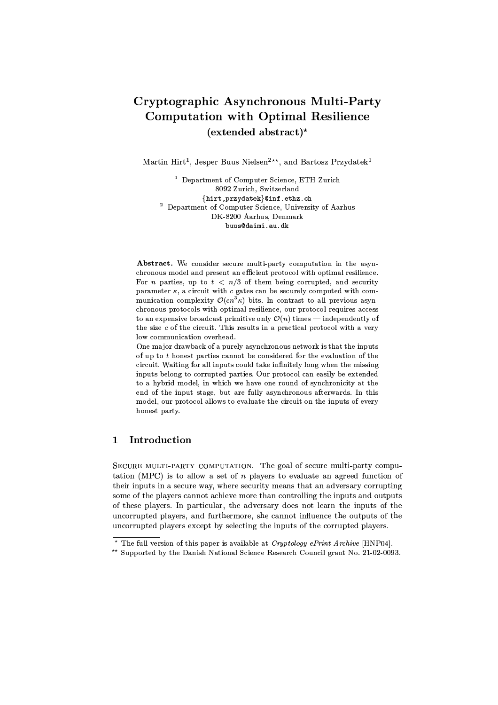# Cryptographic Asynchronous Multi-Party **Computation with Optimal Resilience** (extended abstract)\*

Martin Hirt<sup>1</sup>, Jesper Buus Nielsen<sup>2\*\*</sup>, and Bartosz Przydatek<sup>1</sup>

<sup>1</sup> Department of Computer Science, ETH Zurich 8092 Zurich, Switzerland {hirt, przydatek}@inf.ethz.ch <sup>2</sup> Department of Computer Science, University of Aarhus DK-8200 Aarhus, Denmark buus@daimi.au.dk

Abstract. We consider secure multi-party computation in the asynchronous model and present an efficient protocol with optimal resilience. For *n* parties, up to  $t < n/3$  of them being corrupted, and security parameter  $\kappa$ , a circuit with c gates can be securely computed with communication complexity  $\mathcal{O}(cn^3 \kappa)$  bits. In contrast to all previous asynchronous protocols with optimal resilience, our protocol requires access to an expensive broadcast primitive only  $\mathcal{O}(n)$  times — independently of the size  $c$  of the circuit. This results in a practical protocol with a very low communication overhead.

One major drawback of a purely asynchronous network is that the inputs of up to  $t$  honest parties cannot be considered for the evaluation of the circuit. Waiting for all inputs could take infinitely long when the missing inputs belong to corrupted parties. Our protocol can easily be extended to a hybrid model, in which we have one round of synchronicity at the end of the input stage, but are fully asynchronous afterwards. In this model, our protocol allows to evaluate the circuit on the inputs of every honest party.

#### Introduction  $\mathbf{1}$

SECURE MULTI-PARTY COMPUTATION. The goal of secure multi-party computation (MPC) is to allow a set of  $n$  players to evaluate an agreed function of their inputs in a secure way, where security means that an adversary corrupting some of the players cannot achieve more than controlling the inputs and outputs of these players. In particular, the adversary does not learn the inputs of the uncorrupted players, and furthermore, she cannot influence the outputs of the uncorrupted players except by selecting the inputs of the corrupted players.

 $\overline{\cdot}$  The full version of this paper is available at *Cryptology ePrint Archive* [HNP04].

<sup>\*\*</sup> Supported by the Danish National Science Research Council grant No. 21-02-0093.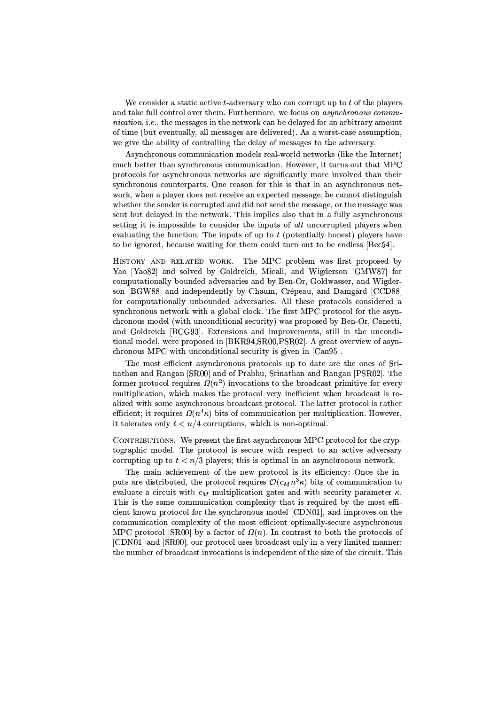We consider a static active  $t$ -adversary who can corrupt up to  $t$  of the players and take full control over them. Furthermore, we focus on *asynchronous commu*nication, i.e., the messages in the network can be delayed for an arbitrary amount of time (but eventually, all messages are delivered). As a worst-case assumption, we give the ability of controlling the delay of messages to the adversary.

Asynchronous communication models real-world networks (like the Internet) much better than synchronous communication. However, it turns out that MPC protocols for asynchronous networks are significantly more involved than their synchronous counterparts. One reason for this is that in an asynchronous network, when a player does not receive an expected message, he cannot distinguish whether the sender is corrupted and did not send the message, or the message was sent but delayed in the network. This implies also that in a fully asynchronous setting it is impossible to consider the inputs of all uncorrupted players when evaluating the function. The inputs of up to  $t$  (potentially honest) players have to be ignored, because waiting for them could turn out to be endless [Bec54].

HISTORY AND RELATED WORK. The MPC problem was first proposed by Yao [Yao82] and solved by Goldreich, Micali, and Wigderson [GMW87] for computationally bounded adversaries and by Ben-Or, Goldwasser, and Wigderson [BGW88] and independently by Chaum, Crépeau, and Damgård [CCD88] for computationally unbounded adversaries. All these protocols considered a synchronous network with a global clock. The first MPC protocol for the asynchronous model (with unconditional security) was proposed by Ben-Or, Canetti, and Goldreich [BCG93]. Extensions and improvements, still in the unconditional model, were proposed in [BKR94,SR00,PSR02]. A great overview of asynchronous MPC with unconditional security is given in [Can95].

The most efficient asynchronous protocols up to date are the ones of Srinathan and Rangan [SR00] and of Prabhu, Srinathan and Rangan [PSR02]. The former protocol requires  $\Omega(n^2)$  invocations to the broadcast primitive for every multiplication, which makes the protocol very inefficient when broadcast is realized with some asynchronous broadcast protocol. The latter protocol is rather efficient; it requires  $\Omega(n^4\kappa)$  bits of communication per multiplication. However, it tolerates only  $t < n/4$  corruptions, which is non-optimal.

CONTRIBUTIONS. We present the first asynchronous MPC protocol for the cryptographic model. The protocol is secure with respect to an active adversary corrupting up to  $t < n/3$  players; this is optimal in an asynchronous network.

The main achievement of the new protocol is its efficiency: Once the inputs are distributed, the protocol requires  $\mathcal{O}(c_M n^3 \kappa)$  bits of communication to evaluate a circuit with  $c_M$  multiplication gates and with security parameter  $\kappa$ . This is the same communication complexity that is required by the most efficient known protocol for the synchronous model [CDN01], and improves on the communication complexity of the most efficient optimally-secure asynchronous MPC protocol [SR00] by a factor of  $\Omega(n)$ . In contrast to both the protocols of [CDN01] and [SR00], our protocol uses broadcast only in a very limited manner. the number of broadcast invocations is independent of the size of the circuit. This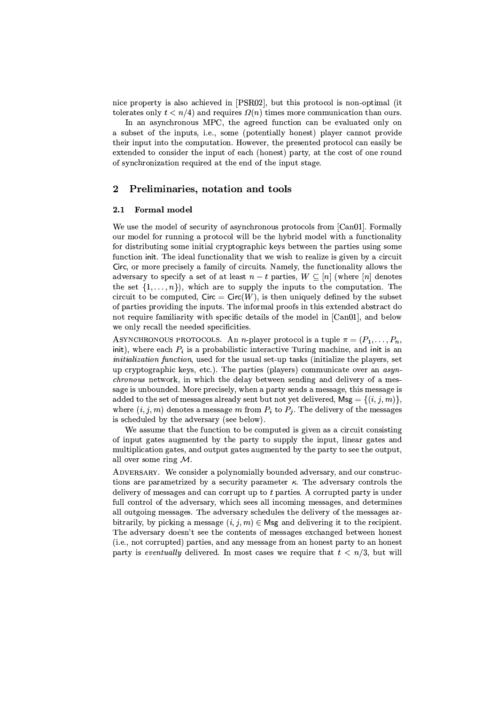nice property is also achieved in [PSR02], but this protocol is non-optimal (it tolerates only  $t < n/4$  and requires  $\Omega(n)$  times more communication than ours.

In an asynchronous MPC, the agreed function can be evaluated only on a subset of the inputs, i.e., some (potentially honest) player cannot provide their input into the computation. However, the presented protocol can easily be extended to consider the input of each (honest) party, at the cost of one round of synchronization required at the end of the input stage.

#### $\overline{2}$ Preliminaries, notation and tools

#### $2.1$ Formal model

We use the model of security of asynchronous protocols from [Can01]. Formally our model for running a protocol will be the hybrid model with a functionality for distributing some initial cryptographic keys between the parties using some function init. The ideal functionality that we wish to realize is given by a circuit Circ, or more precisely a family of circuits. Namely, the functionality allows the adversary to specify a set of at least  $n-t$  parties,  $W \subseteq [n]$  (where [n] denotes the set  $\{1,\ldots,n\}$ , which are to supply the inputs to the computation. The circuit to be computed,  $Circ = Circ(W)$ , is then uniquely defined by the subset of parties providing the inputs. The informal proofs in this extended abstract do not require familiarity with specific details of the model in [Can01], and below we only recall the needed specificities.

ASYNCHRONOUS PROTOCOLS. An *n*-player protocol is a tuple  $\pi = (P_1, \ldots, P_n,$ init), where each  $P_i$  is a probabilistic interactive Turing machine, and init is an *initialization function*, used for the usual set-up tasks (initialize the players, set up cryptographic keys, etc.). The parties (players) communicate over an asyn*chronous* network, in which the delay between sending and delivery of a message is unbounded. More precisely, when a party sends a message, this message is added to the set of messages already sent but not yet delivered,  $Msg = \{(i, j, m)\},\$ where  $(i, j, m)$  denotes a message m from  $P_i$  to  $P_j$ . The delivery of the messages is scheduled by the adversary (see below).

We assume that the function to be computed is given as a circuit consisting of input gates augmented by the party to supply the input, linear gates and multiplication gates, and output gates augmented by the party to see the output, all over some ring  $M$ .

ADVERSARY. We consider a polynomially bounded adversary, and our constructions are parametrized by a security parameter  $\kappa$ . The adversary controls the delivery of messages and can corrupt up to  $t$  parties. A corrupted party is under full control of the adversary, which sees all incoming messages, and determines all outgoing messages. The adversary schedules the delivery of the messages arbitrarily, by picking a message  $(i, j, m) \in \mathsf{Msg}$  and delivering it to the recipient. The adversary doesn't see the contents of messages exchanged between honest (i.e., not corrupted) parties, and any message from an honest party to an honest party is *eventually* delivered. In most cases we require that  $t < n/3$ , but will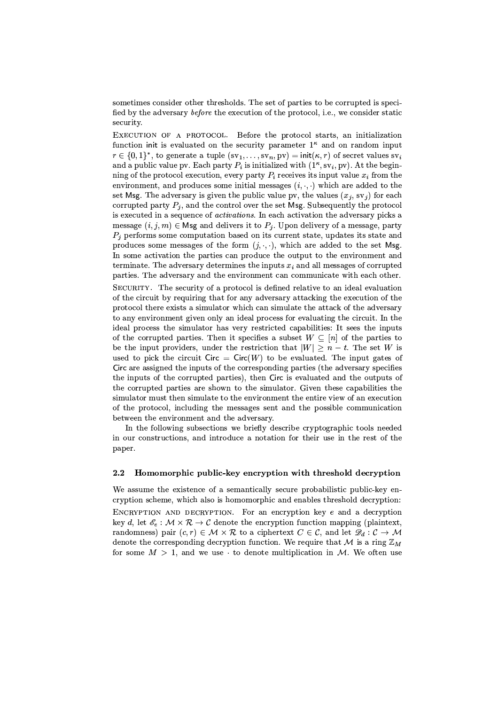sometimes consider other thresholds. The set of parties to be corrupted is specified by the adversary *before* the execution of the protocol, i.e., we consider static security.

EXECUTION OF A PROTOCOL. Before the protocol starts, an initialization function init is evaluated on the security parameter  $1<sup>k</sup>$  and on random input  $r \in \{0,1\}^*$ , to generate a tuple  $(sv_1,\ldots,sv_n, pv) = \text{init}(\kappa,r)$  of secret values sv<sub>i</sub> and a public value pv. Each party  $P_i$  is initialized with  $(1^{\kappa}, s v_i, p v)$ . At the beginning of the protocol execution, every party  $P_i$  receives its input value  $x_i$  from the environment, and produces some initial messages  $(i, \cdot, \cdot)$  which are added to the set Msg. The adversary is given the public value pv, the values  $(x_i, s v_i)$  for each corrupted party  $P_j$ , and the control over the set Msg. Subsequently the protocol is executed in a sequence of *activations*. In each activation the adversary picks a message  $(i, j, m) \in \mathsf{Msg}$  and delivers it to  $P_i$ . Upon delivery of a message, party  $P_i$  performs some computation based on its current state, updates its state and produces some messages of the form  $(j, \cdot, \cdot)$ , which are added to the set Msg. In some activation the parties can produce the output to the environment and terminate. The adversary determines the inputs  $x_i$  and all messages of corrupted parties. The adversary and the environment can communicate with each other.

SECURITY. The security of a protocol is defined relative to an ideal evaluation of the circuit by requiring that for any adversary attacking the execution of the protocol there exists a simulator which can simulate the attack of the adversary to any environment given only an ideal process for evaluating the circuit. In the ideal process the simulator has very restricted capabilities: It sees the inputs of the corrupted parties. Then it specifies a subset  $W \subseteq [n]$  of the parties to be the input providers, under the restriction that  $|W| \ge n - t$ . The set W is used to pick the circuit  $Circ = Circ(W)$  to be evaluated. The input gates of Circ are assigned the inputs of the corresponding parties (the adversary specifies the inputs of the corrupted parties), then Circ is evaluated and the outputs of the corrupted parties are shown to the simulator. Given these capabilities the simulator must then simulate to the environment the entire view of an execution of the protocol, including the messages sent and the possible communication between the environment and the adversary.

In the following subsections we briefly describe cryptographic tools needed in our constructions, and introduce a notation for their use in the rest of the paper.

#### $2.2$ Homomorphic public-key encryption with threshold decryption

We assume the existence of a semantically secure probabilistic public-key encryption scheme, which also is homomorphic and enables threshold decryption. ENCRYPTION AND DECRYPTION. For an encryption key  $e$  and a decryption key d, let  $\mathscr{E}_e : \mathcal{M} \times \mathcal{R} \to \mathcal{C}$  denote the encryption function mapping (plaintext, randomness) pair  $(c, r) \in M \times \mathcal{R}$  to a ciphertext  $C \in \mathcal{C}$ , and let  $\mathcal{D}_d : \mathcal{C} \to M$ denote the corresponding decryption function. We require that M is a ring  $\mathbb{Z}_M$ for some  $M > 1$ , and we use  $\cdot$  to denote multiplication in M. We often use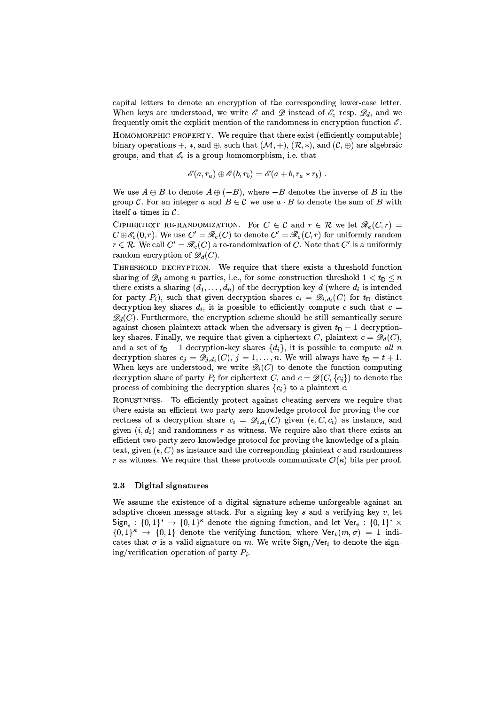capital letters to denote an encryption of the corresponding lower-case letter. When keys are understood, we write  $\mathscr E$  and  $\mathscr D$  instead of  $\mathscr E_e$  resp.  $\mathscr D_d$ , and we frequently omit the explicit mention of the randomness in encryption function  $\mathscr E$ .

HOMOMORPHIC PROPERTY. We require that there exist (efficiently computable) binary operations +, \*, and  $\oplus$ , such that  $(\mathcal{M}, +)$ ,  $(\mathcal{R}, *)$ , and  $(\mathcal{C}, \oplus)$  are algebraic groups, and that  $\mathscr{E}_e$  is a group homomorphism, i.e. that

$$
\mathscr{E}(a,r_a) \oplus \mathscr{E}(b,r_b) = \mathscr{E}(a+b,r_a * r_b)
$$

We use  $A \ominus B$  to denote  $A \oplus (-B)$ , where  $-B$  denotes the inverse of B in the group C. For an integer a and  $B \in \mathcal{C}$  we use  $a \cdot B$  to denote the sum of B with itself  $a$  times in  $C$ .

CIPHERTEXT RE-RANDOMIZATION. For  $C \in \mathcal{C}$  and  $r \in \mathcal{R}$  we let  $\mathcal{R}_e(C,r)$  $C \oplus \mathscr{E}_e(0,r)$ . We use  $C' = \mathscr{R}_e(C)$  to denote  $C' = \mathscr{R}_e(C,r)$  for uniformly random  $r \in \mathcal{R}$ . We call  $C' = \mathscr{R}_e(C)$  a re-randomization of C. Note that C' is a uniformly random encryption of  $\mathscr{D}_d(C)$ .

THRESHOLD DECRYPTION. We require that there exists a threshold function sharing of  $\mathscr{D}_d$  among *n* parties, i.e., for some construction threshold  $1 < t_0 < n$ there exists a sharing  $(d_1, \ldots, d_n)$  of the decryption key d (where  $d_i$  is intended for party  $P_i$ , such that given decryption shares  $c_i = \mathscr{D}_{i,d_i}(C)$  for  $t_D$  distinct decryption-key shares  $d_i$ , it is possible to efficiently compute c such that  $c =$  $\mathscr{D}_d(C)$ . Furthermore, the encryption scheme should be still semantically secure against chosen plaintext attack when the adversary is given  $t_D - 1$  decryptionkey shares. Finally, we require that given a ciphertext C, plaintext  $c = \mathcal{D}_d(C)$ , and a set of  $t_D - 1$  decryption-key shares  $\{d_i\}$ , it is possible to compute all n decryption shares  $c_j = \mathcal{D}_{j,d_j}(C)$ ,  $j = 1, ..., n$ . We will always have  $t_D = t + 1$ . When keys are understood, we write  $\mathcal{D}_i(C)$  to denote the function computing decryption share of party  $P_i$  for ciphertext C, and  $c = \mathcal{D}(C, \{c_i\})$  to denote the process of combining the decryption shares  ${c_i}$  to a plaintext c.

ROBUSTNESS. To efficiently protect against cheating servers we require that there exists an efficient two-party zero-knowledge protocol for proving the correctness of a decryption share  $c_i = \mathscr{D}_{i,d_i}(C)$  given  $(e, C, c_i)$  as instance, and given  $(i, d_i)$  and randomness r as witness. We require also that there exists an efficient two-party zero-knowledge protocol for proving the knowledge of a plaintext, given  $(e, C)$  as instance and the corresponding plaintext c and randomness r as witness. We require that these protocols communicate  $\mathcal{O}(\kappa)$  bits per proof.

#### 2.3 Digital signatures

We assume the existence of a digital signature scheme unforgeable against an adaptive chosen message attack. For a signing key  $s$  and a verifying key  $v$ , let  $Sign_s: \{0,1\}^* \rightarrow \{0,1\}^{\kappa}$  denote the signing function, and let  $Ver_v: \{0,1\}^* \times$  $\{0,1\}^{\kappa} \rightarrow \{0,1\}$  denote the verifying function, where  $\text{Ver}_v(m,\sigma) = 1$  indicates that  $\sigma$  is a valid signature on m. We write  $Sign_i / Ver_i$  to denote the signing/verification operation of party  $P_i$ .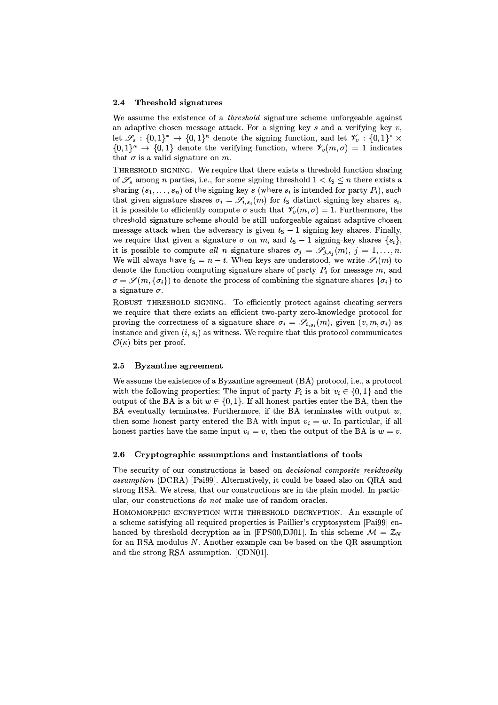#### $2.4$ Threshold signatures

We assume the existence of a *threshold* signature scheme unforgeable against an adaptive chosen message attack. For a signing key s and a verifying key  $v$ , let  $\mathscr{S}_s : \{0,1\}^* \to \{0,1\}^{\kappa}$  denote the signing function, and let  $\mathscr{V}_v : \{0,1\}^* \times$  $\{0,1\}^{\kappa} \rightarrow \{0,1\}$  denote the verifying function, where  $\mathscr{V}_v(m,\sigma) = 1$  indicates that  $\sigma$  is a valid signature on m.

THRESHOLD SIGNING. We require that there exists a threshold function sharing of  $\mathscr{S}_s$  among *n* parties, i.e., for some signing threshold  $1 < t_s \leq n$  there exists a sharing  $(s_1, \ldots, s_n)$  of the signing key s (where  $s_i$  is intended for party  $P_i$ ), such that given signature shares  $\sigma_i = \mathscr{S}_{i,s_i}(m)$  for  $t_s$  distinct signing-key shares  $s_i$ , it is possible to efficiently compute  $\sigma$  such that  $\mathscr{V}_v(m,\sigma) = 1$ . Furthermore, the threshold signature scheme should be still unforgeable against adaptive chosen message attack when the adversary is given  $t<sub>S</sub> - 1$  signing-key shares. Finally, we require that given a signature  $\sigma$  on m, and  $t_5 - 1$  signing-key shares  $\{s_i\}$ , it is possible to compute all *n* signature shares  $\sigma_j = \mathscr{S}_{j,s_j}(m)$ ,  $j = 1,\ldots,n$ . We will always have  $t_5 = n - t$ . When keys are understood, we write  $\mathscr{S}_i(m)$  to denote the function computing signature share of party  $P_i$  for message m, and  $\sigma = \mathscr{S}(m, {\{\sigma_i\}})$  to denote the process of combining the signature shares  $\{\sigma_i\}$  to a signature  $\sigma$ .

ROBUST THRESHOLD SIGNING. To efficiently protect against cheating servers we require that there exists an efficient two-party zero-knowledge protocol for proving the correctness of a signature share  $\sigma_i = \mathscr{S}_{i,s_i}(m)$ , given  $(v, m, \sigma_i)$  as instance and given  $(i, s_i)$  as witness. We require that this protocol communicates  $\mathcal{O}(\kappa)$  bits per proof.

#### 2.5 **Byzantine** agreement

We assume the existence of a Byzantine agreement (BA) protocol, i.e., a protocol with the following properties: The input of party  $P_i$  is a bit  $v_i \in \{0, 1\}$  and the output of the BA is a bit  $w \in \{0, 1\}$ . If all honest parties enter the BA, then the BA eventually terminates. Furthermore, if the BA terminates with output  $w$ , then some honest party entered the BA with input  $v_i = w$ . In particular, if all honest parties have the same input  $v_i = v$ , then the output of the BA is  $w = v$ .

#### $2.6$ Cryptographic assumptions and instantiations of tools

The security of our constructions is based on *decisional composite residuosity* assumption (DCRA) [Pai99]. Alternatively, it could be based also on QRA and strong RSA. We stress, that our constructions are in the plain model. In particular, our constructions *do not* make use of random oracles.

HOMOMORPHIC ENCRYPTION WITH THRESHOLD DECRYPTION. An example of a scheme satisfying all required properties is Paillier's cryptosystem [Pai99] enhanced by threshold decryption as in [FPS00,DJ01]. In this scheme  $\mathcal{M} = \mathbb{Z}_N$ for an RSA modulus  $N$ . Another example can be based on the QR assumption and the strong RSA assumption. [CDN01].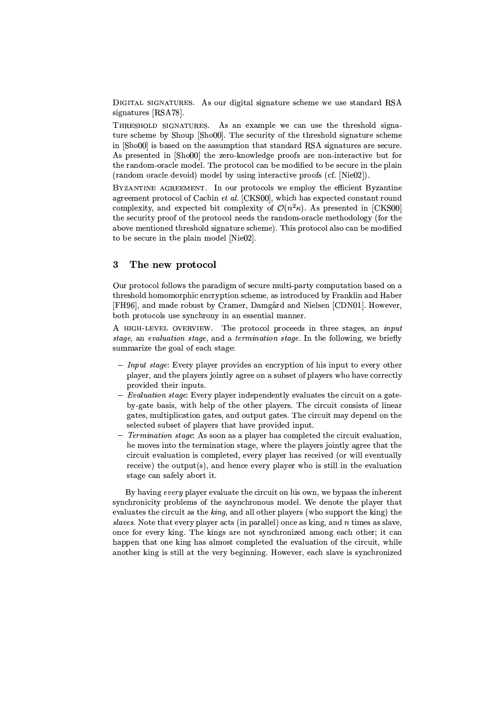DIGITAL SIGNATURES. As our digital signature scheme we use standard RSA signatures [RSA78].

THRESHOLD SIGNATURES. As an example we can use the threshold signature scheme by Shoup [Sho00]. The security of the threshold signature scheme in [Sho00] is based on the assumption that standard RSA signatures are secure. As presented in [Sho00] the zero-knowledge proofs are non-interactive but for the random-oracle model. The protocol can be modified to be secure in the plain (random oracle devoid) model by using interactive proofs (cf. [Nie02]).

BYZANTINE AGREEMENT. In our protocols we employ the efficient Byzantine agreement protocol of Cachin et al. [CKS00], which has expected constant round complexity, and expected bit complexity of  $\mathcal{O}(n^2\kappa)$ . As presented in [CKS00] the security proof of the protocol needs the random-oracle methodology (for the above mentioned threshold signature scheme). This protocol also can be modified to be secure in the plain model [Nie02].

#### 3 The new protocol

Our protocol follows the paradigm of secure multi-party computation based on a threshold homomorphic encryption scheme, as introduced by Franklin and Haber [FH96], and made robust by Cramer, Damgård and Nielsen [CDN01]. However, both protocols use synchrony in an essential manner.

A HIGH-LEVEL OVERVIEW. The protocol proceeds in three stages, an *input* stage, an evaluation stage, and a termination stage. In the following, we briefly summarize the goal of each stage:

- *Input stage*: Every player provides an encryption of his input to every other player, and the players jointly agree on a subset of players who have correctly provided their inputs.
- $-$  Evaluation stage: Every player independently evaluates the circuit on a gateby-gate basis, with help of the other players. The circuit consists of linear gates, multiplication gates, and output gates. The circuit may depend on the selected subset of players that have provided input.
- $-$  Termination stage: As soon as a player has completed the circuit evaluation, he moves into the termination stage, where the players jointly agree that the circuit evaluation is completed, every player has received (or will eventually receive) the output(s), and hence every player who is still in the evaluation stage can safely abort it.

By having every player evaluate the circuit on his own, we bypass the inherent synchronicity problems of the asynchronous model. We denote the player that evaluates the circuit as the  $king$ , and all other players (who support the king) the slaves. Note that every player acts (in parallel) once as king, and  $n$  times as slave, once for every king. The kings are not synchronized among each other; it can happen that one king has almost completed the evaluation of the circuit, while another king is still at the very beginning. However, each slave is synchronized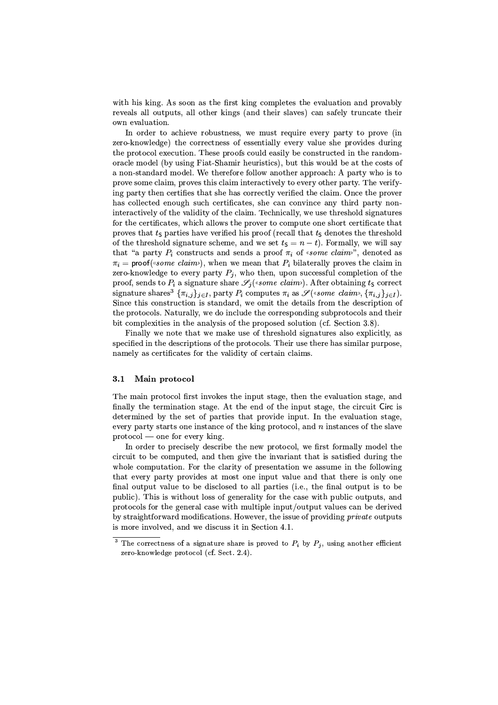with his king. As soon as the first king completes the evaluation and provably reveals all outputs, all other kings (and their slaves) can safely truncate their own evaluation.

In order to achieve robustness, we must require every party to prove (in zero-knowledge) the correctness of essentially every value she provides during the protocol execution. These proofs could easily be constructed in the randomoracle model (by using Fiat-Shamir heuristics), but this would be at the costs of a non-standard model. We therefore follow another approach: A party who is to prove some claim, proves this claim interactively to every other party. The verifying party then certifies that she has correctly verified the claim. Once the prover has collected enough such certificates, she can convince any third party noninteractively of the validity of the claim. Technically, we use threshold signatures for the certificates, which allows the prover to compute one short certificate that proves that  $t_s$  parties have verified his proof (recall that  $t_s$  denotes the threshold of the threshold signature scheme, and we set  $t_5 = n - t$ ). Formally, we will say that "a party  $P_i$  constructs and sends a proof  $\pi_i$  of «some claim»", denoted as  $\pi_i$  = proof («some claim»), when we mean that  $P_i$  bilaterally proves the claim in zero-knowledge to every party  $P_j$ , who then, upon successful completion of the proof, sends to  $P_i$  a signature share  $\mathscr{S}_i$  («some claim»). After obtaining  $t_s$  correct signature shares<sup>3</sup>  $\{\pi_{i,j}\}_{j\in I}$ , party  $P_i$  computes  $\pi_i$  as  $\mathscr{S}$ («some claim»,  $\{\pi_{i,j}\}_{j\in I}$ ). Since this construction is standard, we omit the details from the description of the protocols. Naturally, we do include the corresponding subprotocols and their bit complexities in the analysis of the proposed solution (cf. Section 3.8).

Finally we note that we make use of threshold signatures also explicitly, as specified in the descriptions of the protocols. Their use there has similar purpose, namely as certificates for the validity of certain claims.

#### $3.1$ Main protocol

The main protocol first invokes the input stage, then the evaluation stage, and finally the termination stage. At the end of the input stage, the circuit Circ is determined by the set of parties that provide input. In the evaluation stage, every party starts one instance of the king protocol, and  $n$  instances of the slave  $protocol$  — one for every king.

In order to precisely describe the new protocol, we first formally model the circuit to be computed, and then give the invariant that is satisfied during the whole computation. For the clarity of presentation we assume in the following that every party provides at most one input value and that there is only one final output value to be disclosed to all parties (i.e., the final output is to be public). This is without loss of generality for the case with public outputs, and protocols for the general case with multiple input/output values can be derived by straightforward modifications. However, the issue of providing private outputs is more involved, and we discuss it in Section 4.1.

<sup>&</sup>lt;sup>3</sup> The correctness of a signature share is proved to  $P_i$  by  $P_j$ , using another efficient zero-knowledge protocol (cf. Sect. 2.4).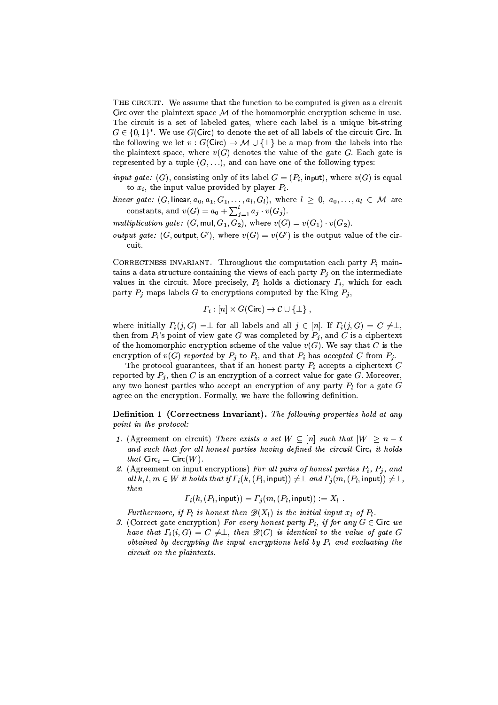THE CIRCUIT. We assume that the function to be computed is given as a circuit Circ over the plaintext space  $M$  of the homomorphic encryption scheme in use. The circuit is a set of labeled gates, where each label is a unique bit-string  $G \in \{0,1\}^*$ . We use  $G(Circ)$  to denote the set of all labels of the circuit Circ. In the following we let  $v: G(Circ) \to M \cup \{\perp\}$  be a map from the labels into the the plaintext space, where  $v(G)$  denotes the value of the gate G. Each gate is represented by a tuple  $(G, \ldots)$ , and can have one of the following types:

- *input gate:* (G), consisting only of its label  $G = (P_i, \text{input})$ , where  $v(G)$  is equal to  $x_i$ , the input value provided by player  $P_i$ .
- *linear gate:*  $(G, \text{linear}, a_0, a_1, G_1, \ldots, a_l, G_l)$ , where  $l \ge 0$ ,  $a_0, \ldots, a_l \in \mathcal{M}$  are constants, and  $v(G) = a_0 + \sum_{j=1}^l a_j \cdot v(G_j)$ .
- multiplication gate:  $(G, \text{mul}, G_1, G_2)$ , where  $v(G) = v(G_1) \cdot v(G_2)$ .
- *output gate:* (G, output, G'), where  $v(G) = v(G')$  is the output value of the circuit.

CORRECTNESS INVARIANT. Throughout the computation each party  $P_i$  maintains a data structure containing the views of each party  $P_i$  on the intermediate values in the circuit. More precisely,  $P_i$  holds a dictionary  $\Gamma_i$ , which for each party  $P_i$  maps labels G to encryptions computed by the King  $P_i$ ,

$$
\Gamma_i:[n]\times G(\mathsf{Circ})\to \mathcal{C}\cup\{\perp\}\ ,
$$

where initially  $\Gamma_i(j,G) = \perp$  for all labels and all  $j \in [n]$ . If  $\Gamma_i(j,G) = C \neq \perp$ , then from  $P_i$ 's point of view gate G was completed by  $P_i$ , and C is a ciphertext of the homomorphic encryption scheme of the value  $v(G)$ . We say that C is the encryption of  $v(G)$  reported by  $P_i$  to  $P_i$ , and that  $P_i$  has accepted C from  $P_i$ .

The protocol guarantees, that if an honest party  $P_i$  accepts a ciphertext C reported by  $P_j$ , then C is an encryption of a correct value for gate G. Moreover, any two honest parties who accept an encryption of any party  $P_l$  for a gate  $G$ agree on the encryption. Formally, we have the following definition.

**Definition 1 (Correctness Invariant).** The following properties hold at any point in the protocol:

- 1. (Agreement on circuit) There exists a set  $W \subseteq [n]$  such that  $|W| \geq n t$ and such that for all honest parties having defined the circuit  $Circ_i$  it holds *that*  $Circ_i = Circ(W)$ .
- 2. (Agreement on input encryptions) For all pairs of honest parties  $P_i$ ,  $P_j$ , and all  $k, l, m \in W$  it holds that if  $\Gamma_i(k, (P_l, \mathsf{input})) \neq \perp$  and  $\Gamma_j(m, (P_l, \mathsf{input})) \neq \perp$ , then

$$
\Gamma_i(k, (P_l, \mathsf{input})) = \Gamma_j(m, (P_l, \mathsf{input})) := X_l
$$

Furthermore, if  $P_l$  is honest then  $\mathscr{D}(X_l)$  is the initial input  $x_l$  of  $P_l$ .

3. (Correct gate encryption) For every honest party  $P_i$ , if for any  $G \in \mathsf{Circ}$  we have that  $\Gamma_i(i, G) = C \neq \perp$ , then  $\mathscr{D}(C)$  is identical to the value of gate G obtained by decrypting the input encryptions held by  $P_i$  and evaluating the circuit on the plaintexts.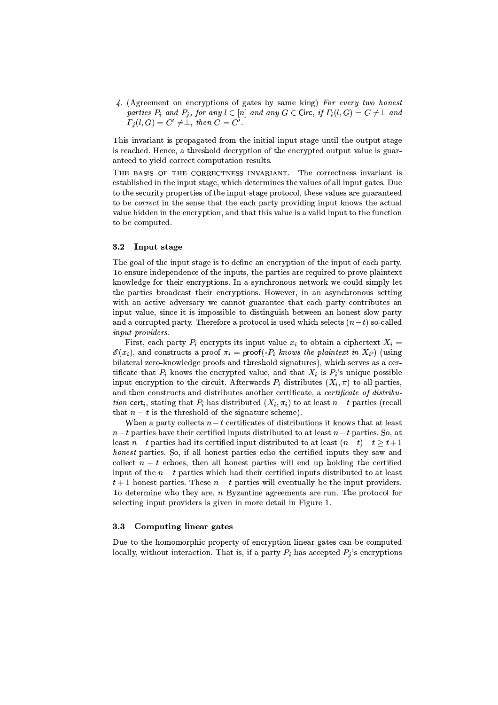4. (Agreement on encryptions of gates by same king) For every two honest parties  $P_i$  and  $P_j$ , for any  $l \in [n]$  and any  $G \in \mathsf{Circ}$ , if  $\Gamma_i(l, G) = C \neq \perp$  and  $\Gamma_i(l,G) = C' \neq \perp$ , then  $C = C'$ .

This invariant is propagated from the initial input stage until the output stage is reached. Hence, a threshold decryption of the encrypted output value is guaranteed to yield correct computation results.

THE BASIS OF THE CORRECTNESS INVARIANT. The correctness invariant is established in the input stage, which determines the values of all input gates. Due to the security properties of the input-stage protocol, these values are guaranteed to be *correct* in the sense that the each party providing input knows the actual value hidden in the encryption, and that this value is a valid input to the function to be computed.

#### $3.2$ Input stage

The goal of the input stage is to define an encryption of the input of each party. To ensure independence of the inputs, the parties are required to prove plaintext knowledge for their encryptions. In a synchronous network we could simply let the parties broadcast their encryptions. However, in an asynchronous setting with an active adversary we cannot guarantee that each party contributes an input value, since it is impossible to distinguish between an honest slow party and a corrupted party. Therefore a protocol is used which selects  $(n-t)$  so-called input providers.

First, each party  $P_i$  encrypts its input value  $x_i$  to obtain a ciphertext  $X_i =$  $\mathscr{E}(x_i)$ , and constructs a proof  $\pi_i = \text{proof}(\ll P_i \text{ knows the plaintext in } X_i)$  (using bilateral zero-knowledge proofs and threshold signatures), which serves as a certificate that  $P_i$  knows the encrypted value, and that  $X_i$  is  $P_i$ 's unique possible input encryption to the circuit. Afterwards  $P_i$  distributes  $(X_i, \pi)$  to all parties. and then constructs and distributes another certificate, a certificate of distribution cert<sub>i</sub>, stating that  $P_i$  has distributed  $(X_i, \pi_i)$  to at least  $n-t$  parties (recall that  $n-t$  is the threshold of the signature scheme).

When a party collects  $n-t$  certificates of distributions it knows that at least  $n-t$  parties have their certified inputs distributed to at least  $n-t$  parties. So, at least  $n-t$  parties had its certified input distributed to at least  $(n-t)-t \geq t+1$ honest parties. So, if all honest parties echo the certified inputs they saw and collect  $n-t$  echoes, then all honest parties will end up holding the certified input of the  $n-t$  parties which had their certified inputs distributed to at least  $t+1$  honest parties. These  $n-t$  parties will eventually be the input providers. To determine who they are,  $n$  Byzantine agreements are run. The protocol for selecting input providers is given in more detail in Figure 1.

#### $3.3$ Computing linear gates

Due to the homomorphic property of encryption linear gates can be computed locally, without interaction. That is, if a party  $P_i$  has accepted  $P_i$ 's encryptions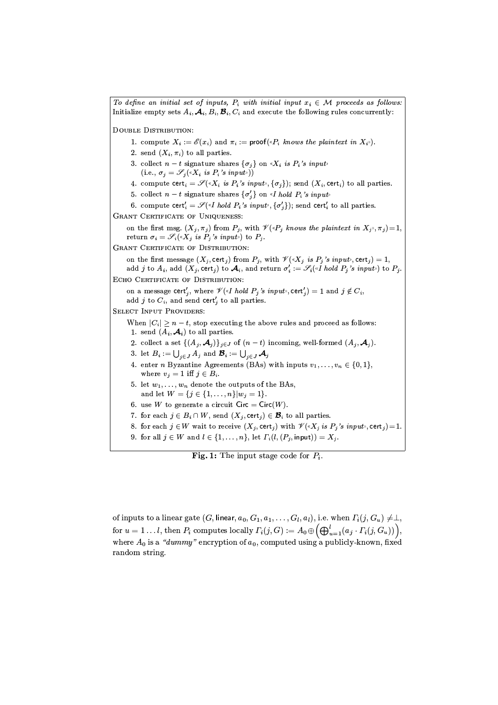To define an initial set of inputs,  $P_i$  with initial input  $x_i \in \mathcal{M}$  proceeds as follows: Initialize empty sets  $A_i$ ,  $A_i$ ,  $B_i$ ,  $B_i$ ,  $C_i$  and execute the following rules concurrently: **DOUBLE DISTRIBUTION:** 1. compute  $X_i := \mathscr{E}(x_i)$  and  $\pi_i := \mathsf{proof}(\llcorner P_i \text{ knows the plaintext in } X_i\llcorner).$ 2. send  $(X_i, \pi_i)$  to all parties. 3. collect  $n-t$  signature shares  $\{\sigma_j\}$  on « $X_i$  is  $P_i$ 's input» (i.e.,  $\sigma_j = \mathscr{S}_j({}^{\scriptscriptstyle\mathcal{S}} X_i$  is  $P_i$ 's input»)) 4. compute cert<sub>i</sub> =  $\mathscr{S}(\mathscr{X}_i$  is  $P_i$ 's input»,  $\{\sigma_i\}$ ; send  $(X_i, \text{cert}_i)$  to all parties. 5. collect  $n-t$  signature shares  $\{\sigma_i'\}$  on «I hold  $P_i$ 's input» 6. compute cert'<sub>i</sub> =  $\mathscr{S}(*I \text{ hold } P_i$ 's input», { $\sigma'_i$ }); send cert'<sub>i</sub> to all parties. **GRANT CERTIFICATE OF UNIQUENESS:** on the first msg.  $(X_i, \pi_i)$  from  $P_i$ , with  $\mathcal{V}(\ll P_i$  knows the plaintext in  $X_i^{\gamma}, \pi_i) = 1$ , return  $\sigma_i = \mathscr{S}_i(\mathscr{K}_i$  is  $P_i$ 's input») to  $P_i$ . GRANT CERTIFICATE OF DISTRIBUTION: on the first message  $(X_i, \text{cert}_i)$  from  $P_i$ , with  $\mathcal{V}(\ll X_i \text{ is } P_i \text{'s input}, \text{cert}_i) = 1$ , add j to  $A_i$ , add  $(X_j, \text{cert}_j)$  to  $A_i$ , and return  $\sigma'_i := \mathscr{S}_i$  («I hold  $P_j$ 's input») to  $P_j$ ECHO CERTIFICATE OF DISTRIBUTION: on a message cert's, where  $\mathcal{V}(*I \text{ hold } P_i$ 's input, cert's = 1 and  $i \notin C_i$ , add *j* to  $C_i$ , and send cert', to all parties. **SELECT INPUT PROVIDERS:** When  $|C_i| \geq n - t$ , stop executing the above rules and proceed as follows: 1. send  $(A_i, \mathcal{A}_i)$  to all parties. 2. collect a set  $\{(A_j, \mathcal{A}_j)\}_{j\in J}$  of  $(n-t)$  incoming, well-formed  $(A_j, \mathcal{A}_j)$ . 3. let  $B_i := \bigcup_{j \in J} A_j$  and  $\mathcal{B}_i := \bigcup_{j \in J} \mathcal{A}_j$ 4. enter *n* Byzantine Agreements (BAs) with inputs  $v_1, \ldots, v_n \in \{0, 1\}$ , where  $v_j = 1$  iff  $j \in B_i$ . 5. let  $w_1, \ldots, w_n$  denote the outputs of the BAs, and let  $W = \{j \in \{1, ..., n\} | w_j = 1\}.$ 6. use W to generate a circuit  $Circ = Circ(W)$ . 7. for each  $j \in B_i \cap W$ , send  $(X_j, \text{cert}_j) \in \mathcal{B}_i$  to all parties. 8. for each  $j \in W$  wait to receive  $(X_i, \text{cert}_i)$  with  $\mathcal{V}(\ll X_i \text{ is } P_i \text{'s input}, \text{cert}_i) = 1$ 9. for all  $j \in W$  and  $l \in \{1, ..., n\}$ , let  $\Gamma_i(l, (P_j, \text{input})) = X_j$ . **Fig. 1:** The input stage code for  $P_i$ .

of inputs to a linear gate  $(G, \text{linear}, a_0, G_1, a_1, \ldots, G_l, a_l)$ , i.e. when  $\Gamma_i(j, G_u) \neq \perp$ , for  $u = 1...l$ , then  $P_i$  computes locally  $\Gamma_i(j, G) := A_0 \oplus \left( \bigoplus_{u=1}^l (a_j \cdot \Gamma_i(j, G_u)) \right)$ , where  $A_0$  is a "dummy" encryption of  $a_0$ , computed using a publicly-known, fixed random string.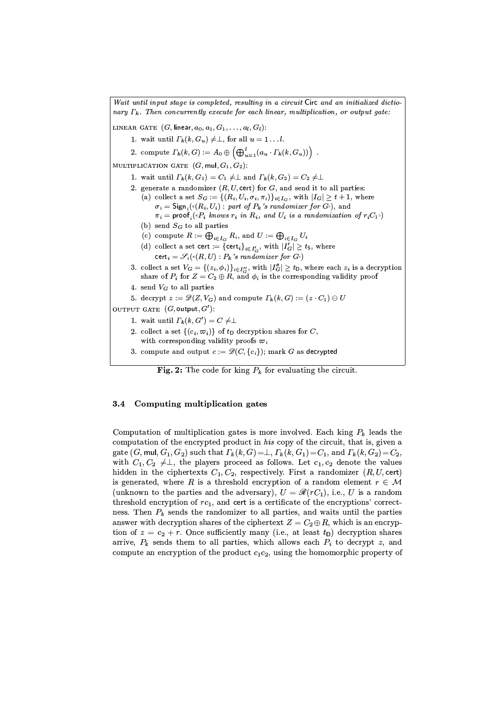Wait until input stage is completed, resulting in a circuit Circ and an initialized dictionary  $\Gamma_k$ . Then concurrently execute for each linear, multiplication, or output gate: LINEAR GATE  $(G, linear, a_0, a_1, G_1, \ldots, a_l, G_l)$ : 1. wait until  $\Gamma_k(k, G_u) \neq \perp$ , for all  $u = 1 \ldots l$ . 2. compute  $\varGamma_k(k,G) := A_0 \oplus \left( \bigoplus_{u=1}^l (a_u \cdot \varGamma_k(k,G_u)) \right)$ . MULTIPLICATION GATE  $(G, \text{mul}, G_1, G_2)$ : 1. wait until  $\Gamma_k(k, G_1) = C_1 \neq \perp$  and  $\Gamma_k(k, G_2) = C_2 \neq \perp$ 2. generate a randomizer  $(R, U, \text{cert})$  for  $G$ , and send it to all parties: (a) collect a set  $S_G := \{(R_i, U_i, \sigma_i, \pi_i)\}_{i \in I_G}$ , with  $|I_G| \geq t+1$ , where  $\sigma_i = \mathsf{Sign}_i(\mathscr{P}(R_i, U_i) : part \text{ of } P_k \text{'s randomizer for } G\text{'}),$  and  $\pi_i = \text{proof}_i(\langle P_i \text{ knows } r_i \text{ in } R_i, \text{ and } U_i \text{ is a randomization of } r_i C_1 \rangle)$ (b) send  $S_G$  to all parties (c) compute  $R := \bigoplus_{i \in I_G} R_i$ , and  $U := \bigoplus_{i \in I_G} U_i$ (d) collect a set cert := {cert<sub>i</sub>}<sub>i $\in I'_{\alpha}$ </sub>, with  $|I'_{G}| \ge t_5$ , where cert<sub>i</sub> =  $\mathscr{S}_i$ (« $(R, U)$ :  $P_k$ 's randomizer for  $G$ ») 3. collect a set  $V_G = \{(z_i, \phi_i)\}_{i \in I_G''}$ , with  $|I_G''| \ge t_D$ , where each  $z_i$  is a decryption share of  $P_i$  for  $Z = C_2 \oplus R$ , and  $\phi_i$  is the corresponding validity proof 4. send  $V_G$  to all parties 5. decrypt  $z := \mathscr{D}(Z, V_G)$  and compute  $\Gamma_k(k, G) := (z \cdot C_1) \oplus U$ OUTPUT GATE  $(G,$  output,  $G'$ : 1. wait until  $\Gamma_k(k, G') = C \neq \perp$ 2. collect a set  $\{(c_i, \varpi_i)\}\$  of  $t_D$  decryption shares for C, with corresponding validity proofs  $\varpi_i$ 3. compute and output  $c := \mathscr{D}(C, \{c_i\})$ ; mark G as decrypted

Fig. 2: The code for king  $P_k$  for evaluating the circuit.

#### $3.4$ Computing multiplication gates

Computation of multiplication gates is more involved. Each king  $P_k$  leads the computation of the encrypted product in his copy of the circuit, that is, given a gate  $(G, \text{mul}, G_1, G_2)$  such that  $\Gamma_k(k, G) = \bot$ ,  $\Gamma_k(k, G_1) = C_1$ , and  $\Gamma_k(k, G_2) = C_2$ , with  $C_1, C_2 \neq \perp$ , the players proceed as follows. Let  $c_1, c_2$  denote the values hidden in the ciphertexts  $C_1, C_2$ , respectively. First a randomizer  $(R, U, \text{cert})$ is generated, where R is a threshold encryption of a random element  $r \in \mathcal{M}$ (unknown to the parties and the adversary),  $U = \mathcal{R}(rC_1)$ , i.e., U is a random threshold encryption of  $rc_1$ , and cert is a certificate of the encryptions' correctness. Then  $P_k$  sends the randomizer to all parties, and waits until the parties answer with decryption shares of the ciphertext  $Z = C_2 \oplus R$ , which is an encryption of  $z = c_2 + r$ . Once sufficiently many (i.e., at least  $t<sub>D</sub>$ ) decryption shares arrive,  $P_k$  sends them to all parties, which allows each  $P_i$  to decrypt z, and compute an encryption of the product  $c_1c_2$ , using the homomorphic property of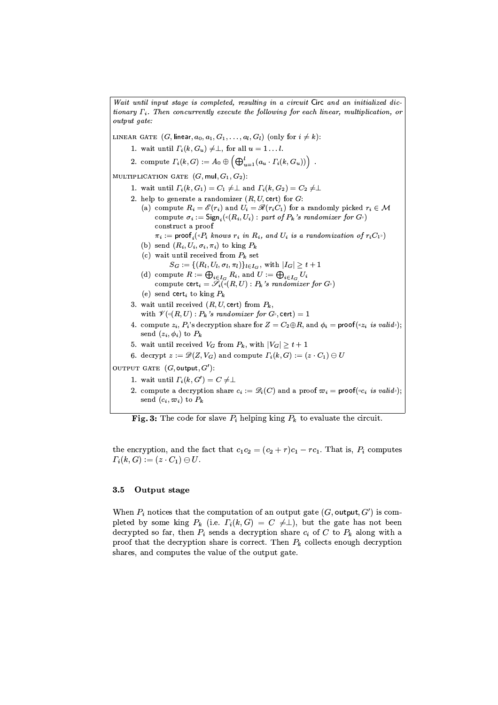Wait until input stage is completed, resulting in a circuit Circ and an initialized dictionary  $\Gamma_i$ . Then concurrently execute the following for each linear, multiplication, or output gate: LINEAR GATE  $(G, \text{linear}, a_0, a_1, G_1, \ldots, a_l, G_l)$  (only for  $i \neq k$ ): 1. wait until  $\Gamma_i(k, G_u) \neq \perp$ , for all  $u = 1 \dots l$ . 2. compute  $\Gamma_i(k, G) := A_0 \oplus \left( \bigoplus_{u=1}^l (a_u \cdot \Gamma_i(k, G_u)) \right)$ . MULTIPLICATION GATE  $(G, \text{mul}, G_1, G_2)$ : 1. wait until  $\Gamma_i(k, G_1) = C_1 \neq \perp$  and  $\Gamma_i(k, G_2) = C_2 \neq \perp$ 2. help to generate a randomizer  $(R, U, \text{cert})$  for  $G$ : (a) compute  $R_i = \mathscr{E}(r_i)$  and  $U_i = \mathscr{R}(r_i C_1)$  for a randomly picked  $r_i \in \mathcal{M}$ compute  $\sigma_i := \text{Sign}_i(\mathcal{A}(R_i, U_i))$ : part of  $P_k$ 's randomizer for  $G$ <sup>n</sup>) construct a proof  $\pi_i := \text{proof}_i({}^{\alpha}P_i \text{ knows } r_i \text{ in } R_i, \text{ and } U_i \text{ is a randomization of } r_iC_1)$ (b) send  $(R_i, U_i, \sigma_i, \pi_i)$  to king  $P_k$ (c) wait until received from  $P_k$  set  $S_G := \{(R_l, U_l, \sigma_l, \pi_l)\}_{l \in I_G}$ , with  $|I_G| \geq t + 1$  $\begin{array}{ll} \mbox{(d)} \ \ \mbox{compute} \ R := \bigoplus_{i \in I_G} R_i, \, \mbox{and} \ U := \bigoplus_{i \in I_G} U_i \\ \mbox{compute cert}_i = \mathscr{S}_i(\mathbf{R},U): P_k \text{ 's randomizer for $G^{\scriptscriptstyle{\wedge}}$}) \end{array}$ (e) send cert<sub>i</sub> to king  $P_k$ 3. wait until received  $(R, U,$  cert) from  $P_k$ , with  $\mathscr{V}(\mathscr{C}(R,U): P_k$ 's randomizer for  $G^*$ , cert) = 1 4. compute  $z_i$ ,  $P_i$ 's decryption share for  $Z = C_2 \oplus R$ , and  $\phi_i = \text{proof}(\ll z_i \text{ is valid})$ ; send  $(z_i, \phi_i)$  to  $P_k$ 5. wait until received  $V_G$  from  $P_k$ , with  $|V_G| \geq t+1$ 6. decrypt  $z := \mathcal{D}(Z, V_G)$  and compute  $\Gamma_i(k, G) := (z \cdot C_1) \ominus U$ OUTPUT GATE  $(G,$  output,  $G'$ : 1. wait until  $\Gamma_i(k, G') = C \neq \perp$ 2. compute a decryption share  $c_i := \mathscr{D}_i(C)$  and a proof  $\varpi_i = \mathsf{proof}(\ll_i is valid)$ ; send  $(c_i, \varpi_i)$  to  $P_k$ 

Fig. 3: The code for slave  $P_i$  helping king  $P_k$  to evaluate the circuit.

the encryption, and the fact that  $c_1c_2 = (c_2 + r)c_1 - rc_1$ . That is,  $P_i$  computes  $\Gamma_i(k,G) := (z \cdot C_1) \ominus U.$ 

#### $3.5$ Output stage

When  $P_i$  notices that the computation of an output gate  $(G,$  output,  $G'$  is completed by some king  $P_k$  (i.e.  $\Gamma_i(k, G) = C \neq \perp$ ), but the gate has not been decrypted so far, then  $P_i$  sends a decryption share  $c_i$  of C to  $P_k$  along with a proof that the decryption share is correct. Then  $P_k$  collects enough decryption shares, and computes the value of the output gate.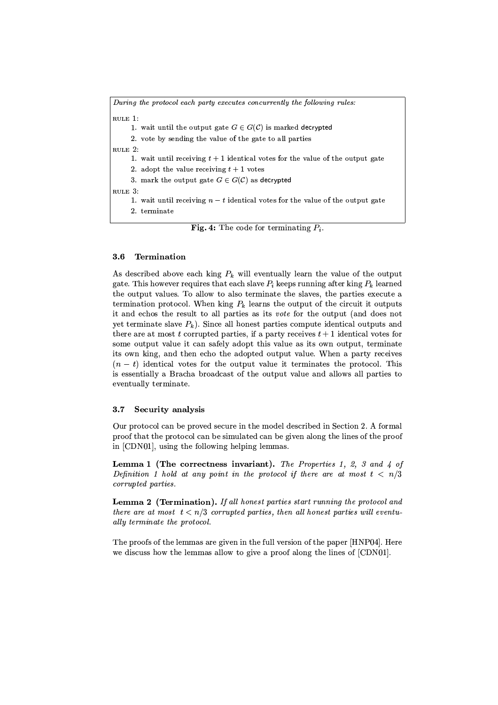During the protocol each party executes concurrently the following rules: RULE 1: 1. wait until the output gate  $G \in G(\mathcal{C})$  is marked decrypted 2. vote by sending the value of the gate to all parties RULE 2: 1. wait until receiving  $t + 1$  identical votes for the value of the output gate 2. adopt the value receiving  $t+1$  votes 3. mark the output gate  $G \in G(\mathcal{C})$  as decrypted RULE 3: 1. wait until receiving  $n - t$  identical votes for the value of the output gate 2. terminate

**Fig. 4:** The code for terminating  $P_i$ .

#### 3.6 Termination

As described above each king  $P_k$  will eventually learn the value of the output gate. This however requires that each slave  $P_i$  keeps running after king  $P_k$  learned the output values. To allow to also terminate the slaves, the parties execute a termination protocol. When king  $P_k$  learns the output of the circuit it outputs it and echos the result to all parties as its vote for the output (and does not yet terminate slave  $P_k$ ). Since all honest parties compute identical outputs and there are at most t corrupted parties, if a party receives  $t + 1$  identical votes for some output value it can safely adopt this value as its own output, terminate its own king, and then echo the adopted output value. When a party receives  $(n - t)$  identical votes for the output value it terminates the protocol. This is essentially a Bracha broadcast of the output value and allows all parties to eventually terminate.

#### $3.7$ Security analysis

Our protocol can be proved secure in the model described in Section 2. A formal proof that the protocol can be simulated can be given along the lines of the proof in [CDN01], using the following helping lemmas.

**Lemma 1 (The correctness invariant).** The Properties 1, 2, 3 and 4 of Definition 1 hold at any point in the protocol if there are at most  $t < n/3$ corrupted parties.

**Lemma 2** (Termination). If all honest parties start running the protocol and there are at most  $t < n/3$  corrupted parties, then all honest parties will eventually terminate the protocol.

The proofs of the lemmas are given in the full version of the paper [HNP04]. Here we discuss how the lemmas allow to give a proof along the lines of [CDN01].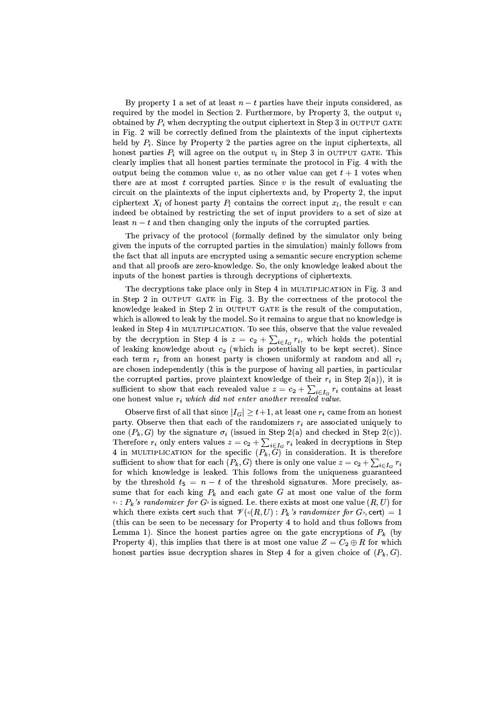By property 1 a set of at least  $n-t$  parties have their inputs considered, as required by the model in Section 2. Furthermore, by Property 3, the output  $v_i$ obtained by  $P_i$  when decrypting the output ciphertext in Step 3 in OUTPUT GATE in Fig. 2 will be correctly defined from the plaintexts of the input ciphertexts held by  $P_i$ . Since by Property 2 the parties agree on the input ciphertexts, all honest parties  $P_i$  will agree on the output  $v_i$  in Step 3 in OUTPUT GATE. This clearly implies that all honest parties terminate the protocol in Fig. 4 with the output being the common value v, as no other value can get  $t + 1$  votes when there are at most t corrupted parties. Since  $v$  is the result of evaluating the circuit on the plaintexts of the input ciphertexts and, by Property 2, the input ciphertext  $X_l$  of honest party  $P_l$  contains the correct input  $x_l$ , the result v can indeed be obtained by restricting the set of input providers to a set of size at least  $n-t$  and then changing only the inputs of the corrupted parties.

The privacy of the protocol (formally defined by the simulator only being given the inputs of the corrupted parties in the simulation) mainly follows from the fact that all inputs are encrypted using a semantic secure encryption scheme and that all proofs are zero-knowledge. So, the only knowledge leaked about the inputs of the honest parties is through decryptions of ciphertexts.

The decryptions take place only in Step 4 in MULTIPLICATION in Fig. 3 and in Step 2 in OUTPUT GATE in Fig. 3. By the correctness of the protocol the knowledge leaked in Step 2 in OUTPUT GATE is the result of the computation, which is allowed to leak by the model. So it remains to argue that no knowledge is leaked in Step 4 in MULTIPLICATION. To see this, observe that the value revealed by the decryption in Step 4 is  $z = c_2 + \sum_{i \in I_G} r_i$ , which holds the potential of leaking knowledge about  $c_2$  (which is potentially to be kept secret). Since each term  $r_i$  from an honest party is chosen uniformly at random and all  $r_i$ are chosen independently (this is the purpose of having all parties, in particular the corrupted parties, prove plaintext knowledge of their  $r_i$  in Step 2(a)), it is sufficient to show that each revealed value  $z = c_2 + \sum_{i \in I_G} r_i$  contains at least one honest value  $r_i$  which did not enter another revealed value.

Observe first of all that since  $|I_G| \geq t+1$ , at least one  $r_i$  came from an honest party. Observe then that each of the randomizers  $r_i$  are associated uniquely to one  $(P_k, G)$  by the signature  $\sigma_i$  (issued in Step 2(a) and checked in Step 2(c)). Therefore  $r_i$  only enters values  $z = c_2 + \sum_{i \in I_G} r_i$  leaked in decryptions in Step 4 in MULTIPLICATION for the specific  $(P_k, \widetilde{G})$  in consideration. It is therefore sufficient to show that for each  $(P_k, G)$  there is only one value  $z = c_2 + \sum_{i \in I_G} r_i$ for which knowledge is leaked. This follows from the uniqueness guaranteed by the threshold  $t_s = n - t$  of the threshold signatures. More precisely, assume that for each king  $P_k$  and each gate G at most one value of the form  $\overline{\mathcal{C}}$ :  $P_k$ 's randomizer for G<sup>\*</sup> is signed. I.e. there exists at most one value  $(R, U)$  for which there exists cert such that  $\mathscr{V}(\mathscr{C}(R,U): P_k$ 's randomizer for  $G$ <sup>\*</sup>, cert) = 1 (this can be seen to be necessary for Property 4 to hold and thus follows from Lemma 1). Since the honest parties agree on the gate encryptions of  $P_k$  (by Property 4), this implies that there is at most one value  $Z = C_2 \oplus R$  for which honest parties issue decryption shares in Step 4 for a given choice of  $(P_k, G)$ .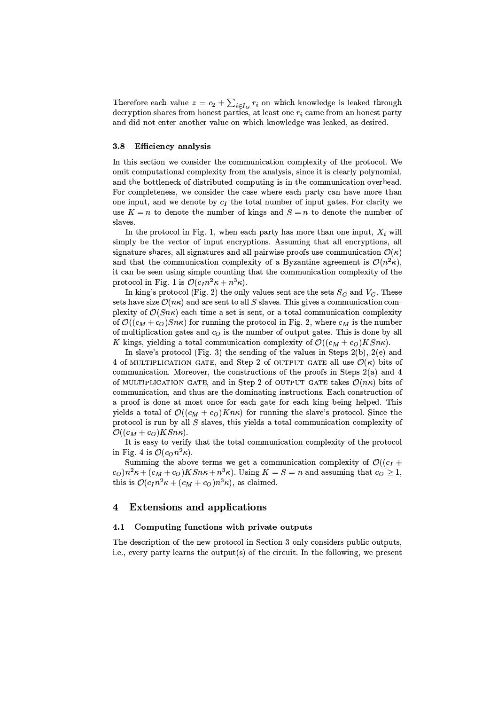Therefore each value  $z = c_2 + \sum_{i \in I_G} r_i$  on which knowledge is leaked through decryption shares from honest parties, at least one  $r_i$  came from an honest party and did not enter another value on which knowledge was leaked, as desired.

#### 3.8 **Efficiency analysis**

In this section we consider the communication complexity of the protocol. We omit computational complexity from the analysis, since it is clearly polynomial, and the bottleneck of distributed computing is in the communication overhead. For completeness, we consider the case where each party can have more than one input, and we denote by  $c<sub>t</sub>$  the total number of input gates. For clarity we use  $K = n$  to denote the number of kings and  $S = n$  to denote the number of slaves.

In the protocol in Fig. 1, when each party has more than one input,  $X_i$  will simply be the vector of input encryptions. Assuming that all encryptions, all signature shares, all signatures and all pairwise proofs use communication  $\mathcal{O}(\kappa)$ and that the communication complexity of a Byzantine agreement is  $\mathcal{O}(n^2\kappa)$ , it can be seen using simple counting that the communication complexity of the protocol in Fig. 1 is  $\mathcal{O}(c_I n^2 \kappa + n^3 \kappa)$ .

In king's protocol (Fig. 2) the only values sent are the sets  $S_G$  and  $V_G$ . These sets have size  $\mathcal{O}(n\kappa)$  and are sent to all S slaves. This gives a communication complexity of  $\mathcal{O}(Sn\kappa)$  each time a set is sent, or a total communication complexity of  $\mathcal{O}((c_M+c_O)Sn\kappa)$  for running the protocol in Fig. 2, where  $c_M$  is the number of multiplication gates and  $c<sub>O</sub>$  is the number of output gates. This is done by all K kings, yielding a total communication complexity of  $\mathcal{O}((c_M + c_O)KSn\kappa)$ .

In slave's protocol (Fig. 3) the sending of the values in Steps  $2(b)$ ,  $2(e)$  and 4 of MULTIPLICATION GATE, and Step 2 of OUTPUT GATE all use  $\mathcal{O}(\kappa)$  bits of communication. Moreover, the constructions of the proofs in Steps  $2(a)$  and 4 of MULTIPLICATION GATE, and in Step 2 of OUTPUT GATE takes  $\mathcal{O}(n\kappa)$  bits of communication, and thus are the dominating instructions. Each construction of a proof is done at most once for each gate for each king being helped. This yields a total of  $\mathcal{O}((c_M + c_O)Kn\kappa)$  for running the slave's protocol. Since the protocol is run by all  $S$  slaves, this yields a total communication complexity of  $\mathcal{O}((c_M+c_O)KSn\kappa).$ 

It is easy to verify that the total communication complexity of the protocol in Fig. 4 is  $\mathcal{O}(c_O n^2 \kappa)$ .

Summing the above terms we get a communication complexity of  $\mathcal{O}((c_I +$  $(c_0)n^2\kappa + (c_M + c_O)KSn\kappa + n^3\kappa$ . Using  $K = S = n$  and assuming that  $c_O \ge 1$ , this is  $\mathcal{O}(c_I n^2 \kappa + (c_M + c_O)n^3 \kappa)$ , as claimed.

#### **Extensions and applications**  $\overline{\mathbf{4}}$

#### $4.1$ Computing functions with private outputs

The description of the new protocol in Section 3 only considers public outputs, i.e., every party learns the output(s) of the circuit. In the following, we present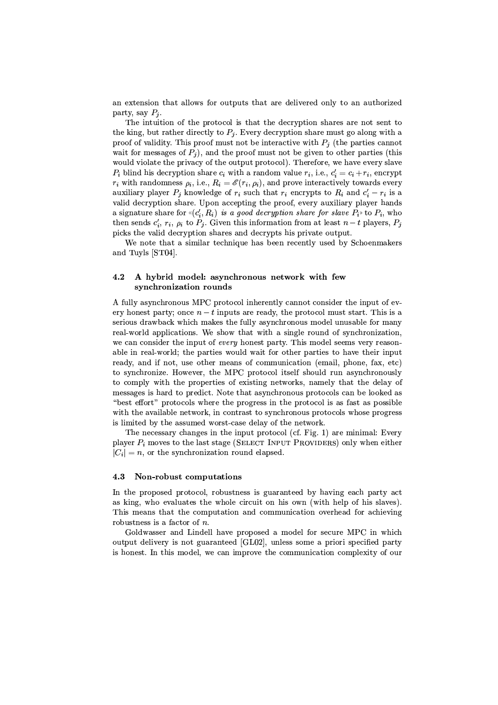an extension that allows for outputs that are delivered only to an authorized party, say  $P_i$ .

The intuition of the protocol is that the decryption shares are not sent to the king, but rather directly to  $P_i$ . Every decryption share must go along with a proof of validity. This proof must not be interactive with  $P_i$  (the parties cannot wait for messages of  $P_i$ ), and the proof must not be given to other parties (this would violate the privacy of the output protocol). Therefore, we have every slave  $P_i$  blind his decryption share  $c_i$  with a random value  $r_i$ , i.e.,  $c'_i = c_i + r_i$ , encrypt  $r_i$  with randomness  $\rho_i$ , i.e.,  $R_i = \mathscr{E}(r_i, \rho_i)$ , and prove interactively towards every auxiliary player  $P_i$  knowledge of  $r_i$  such that  $r_i$  encrypts to  $R_i$  and  $c'_i - r_i$  is a valid decryption share. Upon accepting the proof, every auxiliary player hands a signature share for  $\langle c_i', R_i \rangle$  is a good decryption share for slave  $P_i$  to  $P_i$ , who then sends  $c'_i$ ,  $r_i$ ,  $\rho_i$  to  $P_i$ . Given this information from at least  $n-t$  players,  $P_i$ picks the valid decryption shares and decrypts his private output.

We note that a similar technique has been recently used by Schoenmakers and Tuyls [ST04].

### A hybrid model: asynchronous network with few 4.2 synchronization rounds

A fully asynchronous MPC protocol inherently cannot consider the input of every honest party; once  $n-t$  inputs are ready, the protocol must start. This is a serious drawback which makes the fully asynchronous model unusable for many real-world applications. We show that with a single round of synchronization, we can consider the input of *every* honest party. This model seems very reasonable in real-world; the parties would wait for other parties to have their input ready, and if not, use other means of communication (email, phone, fax, etc) to synchronize. However, the MPC protocol itself should run asynchronously to comply with the properties of existing networks, namely that the delay of messages is hard to predict. Note that asynchronous protocols can be looked as "best effort" protocols where the progress in the protocol is as fast as possible with the available network, in contrast to synchronous protocols whose progress is limited by the assumed worst-case delay of the network.

The necessary changes in the input protocol (cf. Fig. 1) are minimal: Every player  $P_i$  moves to the last stage (SELECT INPUT PROVIDERS) only when either  $|C_i| = n$ , or the synchronization round elapsed.

#### Non-robust computations  $4.3$

In the proposed protocol, robustness is guaranteed by having each party act as king, who evaluates the whole circuit on his own (with help of his slaves). This means that the computation and communication overhead for achieving robustness is a factor of  $n$ .

Goldwasser and Lindell have proposed a model for secure MPC in which output delivery is not guaranteed [GL02], unless some a priori specified party is honest. In this model, we can improve the communication complexity of our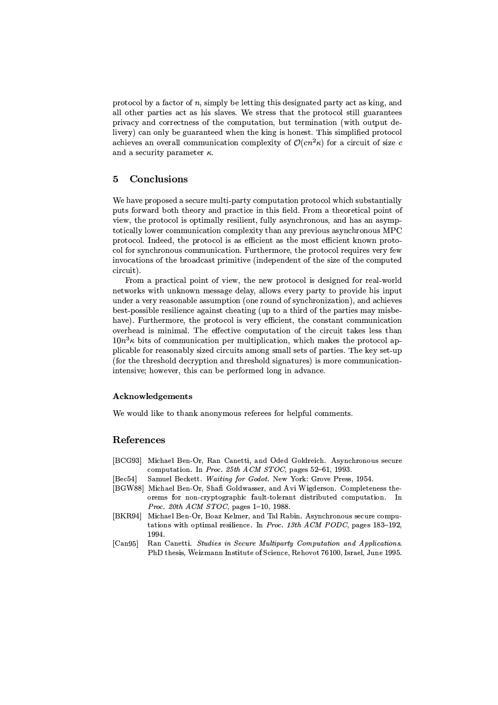protocol by a factor of  $n$ , simply be letting this designated party act as king, and all other parties act as his slaves. We stress that the protocol still guarantees privacy and correctness of the computation, but termination (with output delivery) can only be guaranteed when the king is honest. This simplified protocol achieves an overall communication complexity of  $\mathcal{O}(cn^2\kappa)$  for a circuit of size c and a security parameter  $\kappa$ .

#### $\overline{5}$ Conclusions

We have proposed a secure multi-party computation protocol which substantially puts forward both theory and practice in this field. From a theoretical point of view, the protocol is optimally resilient, fully asynchronous, and has an asymptotically lower communication complexity than any previous asynchronous MPC protocol. Indeed, the protocol is as efficient as the most efficient known protocol for synchronous communication. Furthermore, the protocol requires very few invocations of the broadcast primitive (independent of the size of the computed circuit).

From a practical point of view, the new protocol is designed for real-world networks with unknown message delay, allows every party to provide his input under a very reasonable assumption (one round of synchronization), and achieves best-possible resilience against cheating (up to a third of the parties may misbehave). Furthermore, the protocol is very efficient, the constant communication overhead is minimal. The effective computation of the circuit takes less than  $10n^3\kappa$  bits of communication per multiplication, which makes the protocol applicable for reasonably sized circuits among small sets of parties. The key set-up (for the threshold decryption and threshold signatures) is more communicationintensive; however, this can be performed long in advance.

### Acknowledgements

We would like to thank anonymous referees for helpful comments.

## References

- [BCG93] Michael Ben-Or, Ran Canetti, and Oded Goldreich. Asynchronous secure computation. In Proc. 25th ACM STOC, pages 52-61, 1993.
- $[Bec54]$ Samuel Beckett. Waiting for Godot. New York: Grove Press, 1954.
- [BGW88] Michael Ben-Or, Shafi Goldwasser, and Avi Wigderson. Completeness theorems for non-cryptographic fault-tolerant distributed computation. In *Proc. 20th ACM STOC*, pages  $1-10$ , 1988.
- [BKR94] Michael Ben-Or, Boaz Kelmer, and Tal Rabin. Asynchronous secure computations with optimal resilience. In Proc. 13th ACM PODC, pages 183-192, 1994
- Ran Canetti. Studies in Secure Multiparty Computation and Applications.  $[Can95]$ PhD thesis, Weizmann Institute of Science, Rehovot 76100, Israel, June 1995.